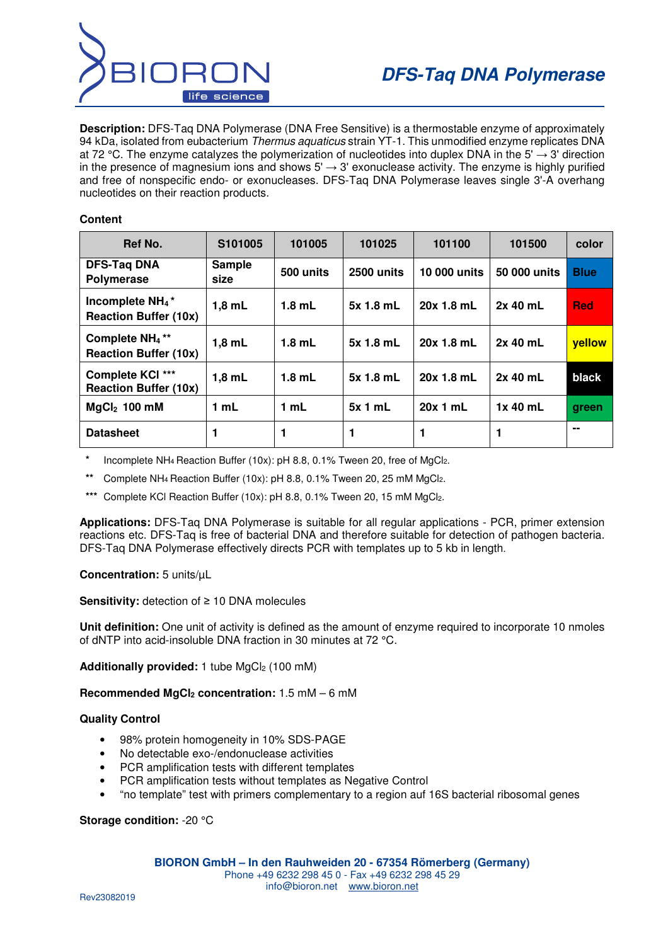

**Description:** DFS-Taq DNA Polymerase (DNA Free Sensitive) is a thermostable enzyme of approximately 94 kDa, isolated from eubacterium Thermus aquaticus strain YT-1. This unmodified enzyme replicates DNA at 72 °C. The enzyme catalyzes the polymerization of nucleotides into duplex DNA in the 5'  $\rightarrow$  3' direction in the presence of magnesium ions and shows  $5' \rightarrow 3'$  exonuclease activity. The enzyme is highly purified and free of nonspecific endo- or exonucleases. DFS-Taq DNA Polymerase leaves single 3'-A overhang nucleotides on their reaction products.

## **Content**

| Ref No.                                                                 | S101005               | 101005    | 101025     | 101100              | 101500       | color         |
|-------------------------------------------------------------------------|-----------------------|-----------|------------|---------------------|--------------|---------------|
| <b>DFS-Tag DNA</b><br><b>Polymerase</b>                                 | <b>Sample</b><br>size | 500 units | 2500 units | <b>10 000 units</b> | 50 000 units | <b>Blue</b>   |
| Incomplete NH <sub>4</sub> <sup>*</sup><br><b>Reaction Buffer (10x)</b> | $1,8$ mL              | $1.8$ mL  | 5x 1.8 mL  | 20x 1.8 mL          | $2x$ 40 mL   | <b>Red</b>    |
| Complete NH <sub>4</sub> <sup>**</sup><br><b>Reaction Buffer (10x)</b>  | $1,8$ mL              | $1.8$ mL  | 5x 1.8 mL  | 20x 1.8 mL          | $2x$ 40 mL   | <b>vellow</b> |
| Complete KCI ***<br><b>Reaction Buffer (10x)</b>                        | $1,8$ mL              | $1.8$ mL  | 5x 1.8 mL  | 20x 1.8 mL          | 2x 40 mL     | black         |
| $MgCl2$ 100 mM                                                          | 1 mL                  | 1 mL      | 5x1mL      | 20x 1 mL            | 1x 40 mL     | green         |
| <b>Datasheet</b>                                                        |                       | 1         | 1          | 1                   |              |               |

Incomplete NH<sub>4</sub> Reaction Buffer (10x): pH 8.8, 0.1% Tween 20, free of MgCl<sub>2</sub>.

Complete NH<sub>4</sub> Reaction Buffer (10x): pH 8.8, 0.1% Tween 20, 25 mM MgCl<sub>2</sub>.

\*\*\* Complete KCl Reaction Buffer (10x): pH 8.8, 0.1% Tween 20, 15 mM MgCl2.

**Applications:** DFS-Taq DNA Polymerase is suitable for all regular applications - PCR, primer extension reactions etc. DFS-Taq is free of bacterial DNA and therefore suitable for detection of pathogen bacteria. DFS-Taq DNA Polymerase effectively directs PCR with templates up to 5 kb in length.

**Concentration:** 5 units/µL

**Sensitivity:** detection of ≥ 10 DNA molecules

**Unit definition:** One unit of activity is defined as the amount of enzyme required to incorporate 10 nmoles of dNTP into acid-insoluble DNA fraction in 30 minutes at 72 °C.

Additionally provided: 1 tube MgCl<sub>2</sub> (100 mM)

**Recommended MgCl2 concentration:** 1.5 mM – 6 mM

### **Quality Control**

- 98% protein homogeneity in 10% SDS-PAGE
- No detectable exo-/endonuclease activities
- PCR amplification tests with different templates
- PCR amplification tests without templates as Negative Control
- "no template" test with primers complementary to a region auf 16S bacterial ribosomal genes

# **Storage condition:** -20 °C